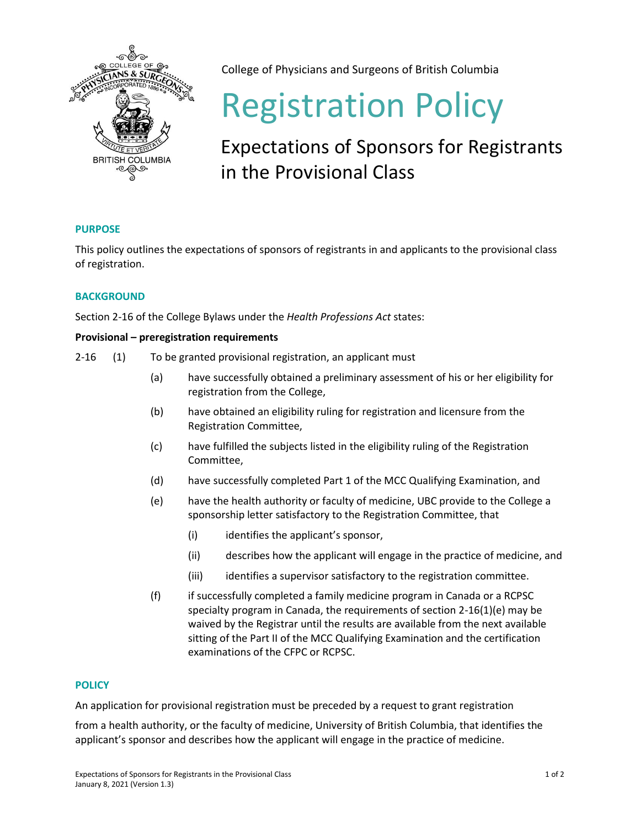

College of Physicians and Surgeons of British Columbia

# Registration Policy

## Expectations of Sponsors for Registrants in the Provisional Class

### **PURPOSE**

This policy outlines the expectations of sponsors of registrants in and applicants to the provisional class of registration.

#### **BACKGROUND**

Section 2-16 of the College Bylaws under the *Health Professions Act* states:

#### **Provisional – preregistration requirements**

- 2-16 (1) To be granted provisional registration, an applicant must
	- (a) have successfully obtained a preliminary assessment of his or her eligibility for registration from the College,
	- (b) have obtained an eligibility ruling for registration and licensure from the Registration Committee,
	- (c) have fulfilled the subjects listed in the eligibility ruling of the Registration Committee,
	- (d) have successfully completed Part 1 of the MCC Qualifying Examination, and
	- (e) have the health authority or faculty of medicine, UBC provide to the College a sponsorship letter satisfactory to the Registration Committee, that
		- (i) identifies the applicant's sponsor,
		- (ii) describes how the applicant will engage in the practice of medicine, and
		- (iii) identifies a supervisor satisfactory to the registration committee.
	- (f) if successfully completed a family medicine program in Canada or a RCPSC specialty program in Canada, the requirements of section 2-16(1)(e) may be waived by the Registrar until the results are available from the next available sitting of the Part II of the MCC Qualifying Examination and the certification examinations of the CFPC or RCPSC.

#### **POLICY**

An application for provisional registration must be preceded by a request to grant registration

from a health authority, or the faculty of medicine, University of British Columbia, that identifies the applicant's sponsor and describes how the applicant will engage in the practice of medicine.